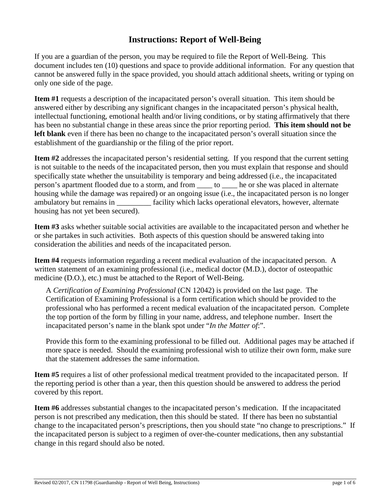## **Instructions: Report of Well-Being**

If you are a guardian of the person, you may be required to file the Report of Well-Being. This document includes ten (10) questions and space to provide additional information. For any question that cannot be answered fully in the space provided, you should attach additional sheets, writing or typing on only one side of the page.

**Item #1** requests a description of the incapacitated person's overall situation. This item should be answered either by describing any significant changes in the incapacitated person's physical health, intellectual functioning, emotional health and/or living conditions, or by stating affirmatively that there has been no substantial change in these areas since the prior reporting period. **This item should not be left blank** even if there has been no change to the incapacitated person's overall situation since the establishment of the guardianship or the filing of the prior report.

**Item #2** addresses the incapacitated person's residential setting. If you respond that the current setting is not suitable to the needs of the incapacitated person, then you must explain that response and should specifically state whether the unsuitability is temporary and being addressed (i.e., the incapacitated person's apartment flooded due to a storm, and from \_\_\_\_ to \_\_\_\_ he or she was placed in alternate housing while the damage was repaired) or an ongoing issue (i.e., the incapacitated person is no longer ambulatory but remains in \_\_\_\_\_\_\_\_\_ facility which lacks operational elevators, however, alternate housing has not yet been secured).

**Item #3** asks whether suitable social activities are available to the incapacitated person and whether he or she partakes in such activities. Both aspects of this question should be answered taking into consideration the abilities and needs of the incapacitated person.

**Item #4** requests information regarding a recent medical evaluation of the incapacitated person. A written statement of an examining professional (i.e., medical doctor (M.D.), doctor of osteopathic medicine (D.O.), etc.) must be attached to the Report of Well-Being.

A *Certification of Examining Professional* (CN 12042) is provided on the last page. The Certification of Examining Professional is a form certification which should be provided to the professional who has performed a recent medical evaluation of the incapacitated person. Complete the top portion of the form by filling in your name, address, and telephone number. Insert the incapacitated person's name in the blank spot under "*In the Matter of*:".

Provide this form to the examining professional to be filled out. Additional pages may be attached if more space is needed. Should the examining professional wish to utilize their own form, make sure that the statement addresses the same information.

**Item #5** requires a list of other professional medical treatment provided to the incapacitated person. If the reporting period is other than a year, then this question should be answered to address the period covered by this report.

**Item #6** addresses substantial changes to the incapacitated person's medication. If the incapacitated person is not prescribed any medication, then this should be stated. If there has been no substantial change to the incapacitated person's prescriptions, then you should state "no change to prescriptions." If the incapacitated person is subject to a regimen of over-the-counter medications, then any substantial change in this regard should also be noted.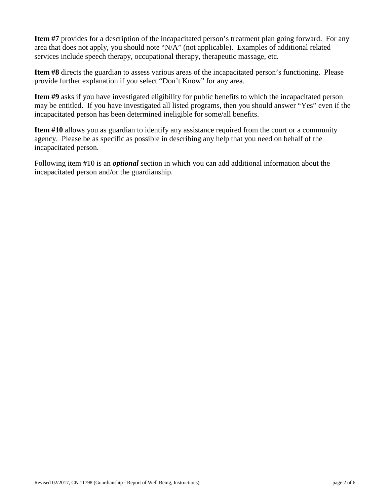**Item #7** provides for a description of the incapacitated person's treatment plan going forward. For any area that does not apply, you should note "N/A" (not applicable). Examples of additional related services include speech therapy, occupational therapy, therapeutic massage, etc.

**Item #8** directs the guardian to assess various areas of the incapacitated person's functioning. Please provide further explanation if you select "Don't Know" for any area.

**Item #9** asks if you have investigated eligibility for public benefits to which the incapacitated person may be entitled. If you have investigated all listed programs, then you should answer "Yes" even if the incapacitated person has been determined ineligible for some/all benefits.

**Item #10** allows you as guardian to identify any assistance required from the court or a community agency. Please be as specific as possible in describing any help that you need on behalf of the incapacitated person.

Following item #10 is an *optional* section in which you can add additional information about the incapacitated person and/or the guardianship.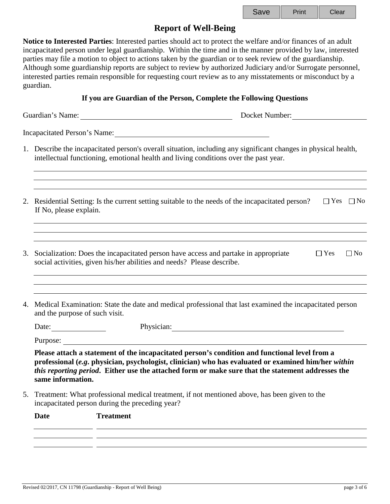| Save | Print | Clear |
|------|-------|-------|
|------|-------|-------|

### **Report of Well-Being**

**Notice to Interested Parties**: Interested parties should act to protect the welfare and/or finances of an adult incapacitated person under legal guardianship. Within the time and in the manner provided by law, interested parties may file a motion to object to actions taken by the guardian or to seek review of the guardianship. Although some guardianship reports are subject to review by authorized Judiciary and/or Surrogate personnel, interested parties remain responsible for requesting court review as to any misstatements or misconduct by a guardian.

#### **If you are Guardian of the Person, Complete the Following Questions**

Guardian's Name: Docket Number: Docket Number:

Incapacitated Person's Name:

- 1. Describe the incapacitated person's overall situation, including any significant changes in physical health, intellectual functioning, emotional health and living conditions over the past year.
- 2. Residential Setting: Is the current setting suitable to the needs of the incapacitated person?  $\square$  Yes  $\square$  No If No, please explain.
- 3. Socialization: Does the incapacitated person have access and partake in appropriate social activities, given his/her abilities and needs? Please describe.  $\Box$  Yes  $\Box$  No
- 4. Medical Examination: State the date and medical professional that last examined the incapacitated person and the purpose of such visit.

Date: Physician: Physician:

Purpose:

**Please attach a statement of the incapacitated person's condition and functional level from a professional (***e.g***. physician, psychologist, clinician) who has evaluated or examined him/her** *within this reporting period***. Either use the attached form or make sure that the statement addresses the same information.**

5. Treatment: What professional medical treatment, if not mentioned above, has been given to the incapacitated person during the preceding year?

| Date | <b>Treatment</b> |
|------|------------------|
|      |                  |
|      |                  |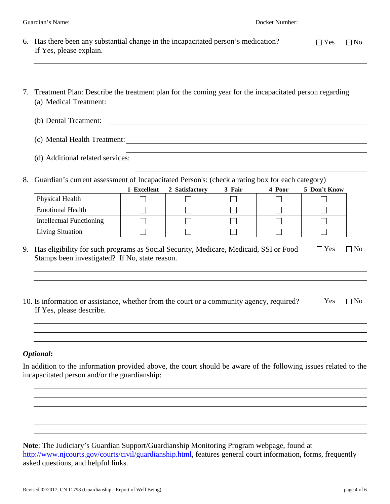| Guardian's Name:<br><u> 1980 - Jan Samuel Barbara, martin di sebagai personal di sebagai personal di sebagai personal di sebagai per</u> |                                                                                                                                                                  |                                                                                                                                                                                |                | Docket Number:                                                                                                   |        |              |           |  |
|------------------------------------------------------------------------------------------------------------------------------------------|------------------------------------------------------------------------------------------------------------------------------------------------------------------|--------------------------------------------------------------------------------------------------------------------------------------------------------------------------------|----------------|------------------------------------------------------------------------------------------------------------------|--------|--------------|-----------|--|
|                                                                                                                                          | 6. Has there been any substantial change in the incapacitated person's medication?<br>If Yes, please explain.                                                    |                                                                                                                                                                                |                |                                                                                                                  |        | $\Box$ Yes   | $\Box$ No |  |
| 7.                                                                                                                                       | Treatment Plan: Describe the treatment plan for the coming year for the incapacitated person regarding<br>(a) Medical Treatment:                                 | <u> 1989 - Johann Stoff, deutscher Stoffen und der Stoffen und der Stoffen und der Stoffen und der Stoffen und der</u>                                                         |                |                                                                                                                  |        |              |           |  |
|                                                                                                                                          | (b) Dental Treatment:                                                                                                                                            | <u> 1989 - Johann Stoff, deutscher Stoffen und der Stoffen und der Stoffen und der Stoffen und der Stoffen und der</u><br><u> 1980 - Johann Barn, fransk politik (f. 1980)</u> |                |                                                                                                                  |        |              |           |  |
|                                                                                                                                          |                                                                                                                                                                  |                                                                                                                                                                                |                | and the control of the control of the control of the control of the control of the control of the control of the |        |              |           |  |
|                                                                                                                                          |                                                                                                                                                                  |                                                                                                                                                                                |                | and the control of the control of the control of the control of the control of the control of the control of the |        |              |           |  |
| 8.                                                                                                                                       | Guardian's current assessment of Incapacitated Person's: (check a rating box for each category)                                                                  | 1 Excellent                                                                                                                                                                    | 2 Satisfactory | 3 Fair                                                                                                           | 4 Poor | 5 Don't Know |           |  |
|                                                                                                                                          | Physical Health                                                                                                                                                  |                                                                                                                                                                                |                |                                                                                                                  |        |              |           |  |
|                                                                                                                                          | <b>Emotional Health</b>                                                                                                                                          |                                                                                                                                                                                |                |                                                                                                                  |        |              |           |  |
|                                                                                                                                          | <b>Intellectual Functioning</b>                                                                                                                                  |                                                                                                                                                                                |                |                                                                                                                  |        |              |           |  |
|                                                                                                                                          | <b>Living Situation</b>                                                                                                                                          |                                                                                                                                                                                |                |                                                                                                                  |        |              |           |  |
| 9.                                                                                                                                       | Has eligibility for such programs as Social Security, Medicare, Medicaid, SSI or Food<br>Stamps been investigated? If No, state reason.                          |                                                                                                                                                                                |                |                                                                                                                  |        | $\Box$ Yes   | $\Box$ No |  |
|                                                                                                                                          | 10. Is information or assistance, whether from the court or a community agency, required?<br>If Yes, please describe.                                            |                                                                                                                                                                                |                |                                                                                                                  |        | $\Box$ Yes   | $\Box$ No |  |
|                                                                                                                                          | <b>Optional:</b>                                                                                                                                                 |                                                                                                                                                                                |                |                                                                                                                  |        |              |           |  |
|                                                                                                                                          | In addition to the information provided above, the court should be aware of the following issues related to the<br>incapacitated person and/or the guardianship: |                                                                                                                                                                                |                |                                                                                                                  |        |              |           |  |
|                                                                                                                                          |                                                                                                                                                                  |                                                                                                                                                                                |                |                                                                                                                  |        |              |           |  |
|                                                                                                                                          |                                                                                                                                                                  |                                                                                                                                                                                |                |                                                                                                                  |        |              |           |  |

**Note**: The Judiciary's Guardian Support/Guardianship Monitoring Program webpage, found at [http://www.njcourts.gov/courts/civil/guardianship.html,](http://www.njcourts.gov/courts/civil/guardianship.html) features general court information, forms, frequently asked questions, and helpful links.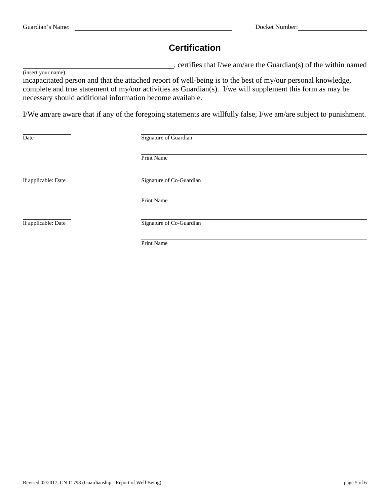## **Certification**

, certifies that I/we am/are the Guardian(s) of the within named

(insert your name)

incapacitated person and that the attached report of well-being is to the best of my/our personal knowledge, complete and true statement of my/our activities as Guardian(s). I/we will supplement this form as may be necessary should additional information become available.

I/We am/are aware that if any of the foregoing statements are willfully false, I/we am/are subject to punishment.

| Date                | Signature of Guardian    |  |  |
|---------------------|--------------------------|--|--|
|                     | Print Name               |  |  |
| If applicable: Date | Signature of Co-Guardian |  |  |
|                     | Print Name               |  |  |
| If applicable: Date | Signature of Co-Guardian |  |  |
|                     |                          |  |  |

Print Name